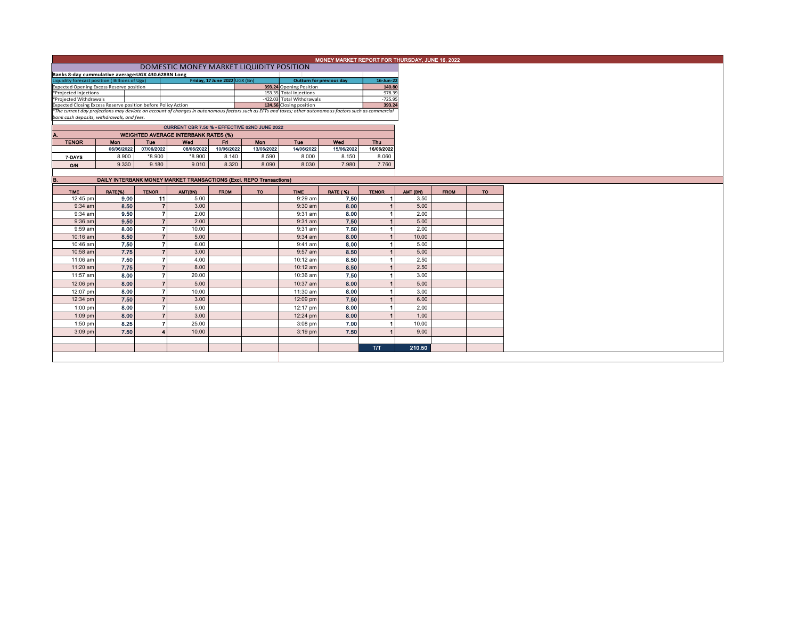|                                                                                                                                                          |                                                                                                                                |              |                        |                                             |             |                                                                     |             | MONEY MARKET REPORT FOR THURSDAY, JUNE 16, 2022 |                |          |             |    |
|----------------------------------------------------------------------------------------------------------------------------------------------------------|--------------------------------------------------------------------------------------------------------------------------------|--------------|------------------------|---------------------------------------------|-------------|---------------------------------------------------------------------|-------------|-------------------------------------------------|----------------|----------|-------------|----|
|                                                                                                                                                          |                                                                                                                                |              |                        |                                             |             |                                                                     |             |                                                 |                |          |             |    |
|                                                                                                                                                          | DOMESTIC MONEY MARKET LIQUIDITY POSITION<br>Banks 8-day cummulative average: UGX 430.628BN Long                                |              |                        |                                             |             |                                                                     |             |                                                 |                |          |             |    |
|                                                                                                                                                          | Friday, 17 June 2022 UGX (Bn)<br>Liquidity forecast position (Billions of Ugx)<br><b>Outturn for previous day</b><br>16-Jun-22 |              |                        |                                             |             |                                                                     |             |                                                 |                |          |             |    |
|                                                                                                                                                          |                                                                                                                                |              |                        |                                             |             |                                                                     |             |                                                 | 140.80         |          |             |    |
|                                                                                                                                                          | <b>Expected Opening Excess Reserve position</b><br>393.24 Opening Position<br>153.35 Total Injections<br>*Projected Injections |              |                        |                                             |             |                                                                     |             | 978.39                                          |                |          |             |    |
| *Projected Withdrawals                                                                                                                                   |                                                                                                                                |              |                        |                                             |             | -422.03 Total Withdrawals                                           |             | $-725.95$                                       |                |          |             |    |
|                                                                                                                                                          | Expected Closing Excess Reserve position before Policy Action<br>124.56 Closing position                                       |              |                        |                                             |             |                                                                     |             | 393.24                                          |                |          |             |    |
| *The current day projections may deviate on account of changes in autonomous factors such as EFTs and taxes; other autonomous factors such as commercial |                                                                                                                                |              |                        |                                             |             |                                                                     |             |                                                 |                |          |             |    |
| bank cash deposits, withdrawals, and fees.                                                                                                               |                                                                                                                                |              |                        |                                             |             |                                                                     |             |                                                 |                |          |             |    |
|                                                                                                                                                          |                                                                                                                                |              |                        |                                             |             |                                                                     |             |                                                 |                |          |             |    |
|                                                                                                                                                          | CURRENT CBR 7.50 % - EFFECTIVE 02ND JUNE 2022                                                                                  |              |                        |                                             |             |                                                                     |             |                                                 |                |          |             |    |
| IA.                                                                                                                                                      |                                                                                                                                |              |                        | <b>WEIGHTED AVERAGE INTERBANK RATES (%)</b> |             |                                                                     |             |                                                 |                |          |             |    |
| <b>TENOR</b>                                                                                                                                             | <b>Mon</b>                                                                                                                     | <b>Tue</b>   |                        | Wed                                         | Eri I       | <b>Mon</b>                                                          | <b>Tue</b>  | Wed                                             | Thu            |          |             |    |
|                                                                                                                                                          | 06/06/2022                                                                                                                     | 07/06/2022   |                        | 08/06/2022                                  | 10/06/2022  | 13/06/2022                                                          | 14/06/2022  | 15/06/2022                                      | 16/06/2022     |          |             |    |
|                                                                                                                                                          | 8.900                                                                                                                          | $*8.900$     |                        | *8.900                                      | 8.140       | 8.590                                                               | 8.000       | 8.150                                           | 8.060          |          |             |    |
| 7-DAYS                                                                                                                                                   |                                                                                                                                |              |                        |                                             |             |                                                                     |             |                                                 |                |          |             |    |
| O/N                                                                                                                                                      | 9.330                                                                                                                          | 9.180        |                        | 9.010                                       | 8.320       | 8.090                                                               | 8.030       | 7.980                                           | 7.760          |          |             |    |
|                                                                                                                                                          |                                                                                                                                |              |                        |                                             |             |                                                                     |             |                                                 |                |          |             |    |
| B.                                                                                                                                                       |                                                                                                                                |              |                        |                                             |             | DAILY INTERBANK MONEY MARKET TRANSACTIONS (Excl. REPO Transactions) |             |                                                 |                |          |             |    |
|                                                                                                                                                          |                                                                                                                                |              |                        |                                             |             |                                                                     |             |                                                 |                |          |             |    |
| <b>TIME</b>                                                                                                                                              | RATE(%)                                                                                                                        | <b>TENOR</b> |                        | AMT(BN)                                     | <b>FROM</b> | TO.                                                                 | <b>TIME</b> | <b>RATE (%)</b>                                 | <b>TENOR</b>   | AMT (BN) | <b>FROM</b> | TO |
| 12:45 pm                                                                                                                                                 | 9.00                                                                                                                           |              | 11                     | 5.00                                        |             |                                                                     | $9:29$ am   | 7.50                                            | 11             | 3.50     |             |    |
| $9:34$ am                                                                                                                                                | 8.50                                                                                                                           |              | $\overline{7}$         | 3.00                                        |             |                                                                     | $9:30$ am   | 8.00                                            | 1 <sup>1</sup> | 5.00     |             |    |
| $9:34$ am                                                                                                                                                | 9.50                                                                                                                           |              | $\overline{7}$         | 2.00                                        |             |                                                                     | 9:31 am     | 8.00                                            | $\blacksquare$ | 2.00     |             |    |
|                                                                                                                                                          | 9.50                                                                                                                           |              | $\overline{7}$         |                                             |             |                                                                     |             | 7.50                                            | 1              |          |             |    |
| 9:36 am                                                                                                                                                  |                                                                                                                                |              |                        | 2.00                                        |             |                                                                     | $9:31$ am   |                                                 |                | 5.00     |             |    |
| 9:59 am                                                                                                                                                  | 8.00                                                                                                                           |              | $\overline{ }$         | 10.00                                       |             |                                                                     | $9:31$ am   | 7.50                                            | 1 <sup>1</sup> | 2.00     |             |    |
| 10:16 am                                                                                                                                                 | 8.50                                                                                                                           |              | $\overline{7}$         | 5.00                                        |             |                                                                     | 9:34 am     | 8.00                                            | 1 <sup>1</sup> | 10.00    |             |    |
| 10:46 am                                                                                                                                                 | 7.50                                                                                                                           |              | $\overline{7}$         | 6.00                                        |             |                                                                     | $9:41$ am   | 8.00                                            | $\blacksquare$ | 5.00     |             |    |
| 10:58 am                                                                                                                                                 | 7.75                                                                                                                           |              | $\overline{7}$         | 3.00                                        |             |                                                                     | 9:57 am     | 8.50                                            | 1 <sup>1</sup> | 5.00     |             |    |
| 11:06 am                                                                                                                                                 | 7.50                                                                                                                           |              | $\overline{ }$         | 4.00                                        |             |                                                                     | 10:12 am    | 8.50                                            | $\mathbf{1}$   | 2.50     |             |    |
|                                                                                                                                                          |                                                                                                                                |              |                        |                                             |             |                                                                     |             |                                                 |                |          |             |    |
| 11:20 am                                                                                                                                                 | 7.75                                                                                                                           |              | $\overline{7}$         | 8.00                                        |             |                                                                     | 10:12 am    | 8.50                                            | 1 <sup>1</sup> | 2.50     |             |    |
| 11:57 am                                                                                                                                                 | 8.00                                                                                                                           |              | $\overline{7}$         | 20.00                                       |             |                                                                     | 10:36 am    | 7.50                                            | 1              | 3.00     |             |    |
| 12:06 pm                                                                                                                                                 | 8.00                                                                                                                           |              | $\overline{7}$         | 5.00                                        |             |                                                                     | 10:37 am    | 8.00                                            | 11             | 5.00     |             |    |
| 12:07 pm                                                                                                                                                 | 8.00                                                                                                                           |              | $\overline{7}$         | 10.00                                       |             |                                                                     | 11:30 am    | 8.00                                            | 1.             | 3.00     |             |    |
|                                                                                                                                                          |                                                                                                                                |              |                        |                                             |             |                                                                     |             |                                                 |                |          |             |    |
| 12:34 pm                                                                                                                                                 | 7.50                                                                                                                           |              | $\overline{7}$         | 3.00                                        |             |                                                                     | 12:09 pm    | 7.50                                            | 11             | 6.00     |             |    |
| $1:00$ pm                                                                                                                                                | 8.00                                                                                                                           |              | $\overline{7}$         | 5.00                                        |             |                                                                     | 12:17 pm    | 8.00                                            | 1.             | 2.00     |             |    |
| 1:09 pm                                                                                                                                                  | 8.00                                                                                                                           |              | $\overline{7}$         | 3.00                                        |             |                                                                     | 12:24 pm    | 8.00                                            | 11             | 1.00     |             |    |
| $1:50$ pm                                                                                                                                                | 8.25                                                                                                                           |              | $\overline{7}$         | 25.00                                       |             |                                                                     | $3:08$ pm   | 7.00                                            | 1.             | 10.00    |             |    |
|                                                                                                                                                          |                                                                                                                                |              |                        |                                             |             |                                                                     |             |                                                 |                |          |             |    |
| 3:09 pm                                                                                                                                                  | 7.50                                                                                                                           |              | $\boldsymbol{\Lambda}$ | 10.00                                       |             |                                                                     | $3:19$ pm   | 7.50                                            |                | 9.00     |             |    |
|                                                                                                                                                          |                                                                                                                                |              |                        |                                             |             |                                                                     |             |                                                 |                |          |             |    |
|                                                                                                                                                          |                                                                                                                                |              |                        |                                             |             |                                                                     |             |                                                 | <b>T/T</b>     | 210.50   |             |    |
|                                                                                                                                                          |                                                                                                                                |              |                        |                                             |             |                                                                     |             |                                                 |                |          |             |    |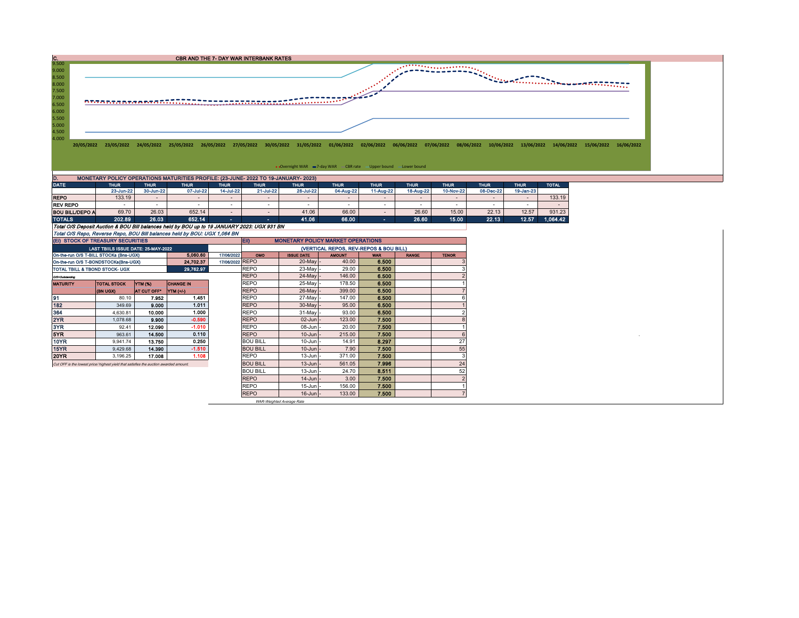

| ------                 | .                                                                                           | .         | .         | .         | .         | .         | .         | .         | .         | .         | .         | .         | ------   |  |
|------------------------|---------------------------------------------------------------------------------------------|-----------|-----------|-----------|-----------|-----------|-----------|-----------|-----------|-----------|-----------|-----------|----------|--|
|                        | 23-Jun-22                                                                                   | 30-Jun-22 | 07-Jul-22 | 14-Jul-22 | 21-Jul-22 | 28-Jul-22 | 04-Aug-22 | 11-Aug-22 | 18-Aug-22 | 10-Nov-22 | 08-Dec-22 | 19-Jan-23 |          |  |
| <b>REPO</b>            | 133.19                                                                                      |           |           |           |           |           |           |           |           |           |           |           | 133.19   |  |
| <b>REV REPO</b>        |                                                                                             |           |           |           |           |           |           |           | -         |           |           | . .       |          |  |
| <b>BOU BILL/DEPO A</b> | 69.70                                                                                       | 26.03     | 652.14    |           |           | 41.06     | 66.00     |           | 26.60     | 15.00     | 22.13     | 12.57     | 931.23   |  |
| <b>TOTALS</b>          | 202.89                                                                                      | 26.03     | 652.14    | -         |           | 41.06     | 66.00     |           | 26.60     | 15.00     | 22.13     | 12.57     | 1.064.42 |  |
|                        | Total O/S Deposit Auction & BOU Bill balances held by BOU up to 19 JANUARY 2023: UGX 931 BN |           |           |           |           |           |           |           |           |           |           |           |          |  |
|                        | Total O/S Repo, Reverse Repo, BOU Bill balances held by BOU: UGX 1,064 BN                   |           |           |           |           |           |           |           |           |           |           |           |          |  |

| (EI) STOCK OF TREASURY SECURITIES                                                    |                                     |             |                  |                 | EII)<br><b>MONETARY POLICY MARKET OPERATIONS</b> |                   |               |            |              |              |  |  |  |  |
|--------------------------------------------------------------------------------------|-------------------------------------|-------------|------------------|-----------------|--------------------------------------------------|-------------------|---------------|------------|--------------|--------------|--|--|--|--|
|                                                                                      | LAST TBIILS ISSUE DATE: 25-MAY-2022 |             |                  |                 | (VERTICAL REPOS, REV-REPOS & BOU BILL)           |                   |               |            |              |              |  |  |  |  |
| On-the-run O/S T-BILL STOCKs (Bns-UGX)                                               |                                     |             | 5,060.60         | 17/06/2022      | OMO                                              | <b>ISSUE DATE</b> | <b>AMOUNT</b> | <b>WAR</b> | <b>RANGE</b> | <b>TENOR</b> |  |  |  |  |
| On-the-run O/S T-BONDSTOCKs(Bns-UGX)                                                 |                                     |             | 24,702.37        | 17/06/2022 REPO |                                                  | $20$ -May -       | 40.00         | 6.500      |              |              |  |  |  |  |
| 29.762.97<br>TOTAL TBILL & TBOND STOCK- UGX                                          |                                     |             |                  |                 | <b>REPO</b>                                      | 23-May -          | 29.00         | 6.500      |              |              |  |  |  |  |
| O/S=Outstanding                                                                      |                                     |             |                  |                 | <b>REPO</b>                                      | $24$ -May $-$     | 146.00        | 6.500      |              |              |  |  |  |  |
| <b>MATURITY</b>                                                                      | <b>TOTAL STOCK</b>                  | YTM (%)     | <b>CHANGE IN</b> |                 | <b>REPO</b>                                      | 25-May -          | 178.50        | 6.500      |              |              |  |  |  |  |
|                                                                                      | (BN UGX)                            | AT CUT OFF" | YTM (+/-)        |                 | <b>REPO</b>                                      | $26$ -May -       | 399.00        | 6.500      |              |              |  |  |  |  |
| 91                                                                                   | 80.10                               | 7.952       | 1.451            |                 | <b>REPO</b>                                      | 27-May -          | 147.00        | 6.500      |              |              |  |  |  |  |
| 182                                                                                  | 349.69                              | 9.000       | 1.011            |                 | <b>REPO</b>                                      | $30$ -May -       | 95.00         | 6.500      |              |              |  |  |  |  |
| 364                                                                                  | 4,630.81                            | 10.000      | 1.000            |                 | <b>REPO</b>                                      | 31-May -          | 93.00         | 6.500      |              |              |  |  |  |  |
| 2YR                                                                                  | 1,078.68                            | 9.900       | $-0.590$         |                 | <b>REPO</b>                                      | $02$ -Jun $-$     | 123.00        | 7.500      |              |              |  |  |  |  |
| 3YR                                                                                  | 92.41                               | 12.090      | $-1.010$         |                 | <b>REPO</b>                                      | $08 - Jun$        | 20.00         | 7.500      |              |              |  |  |  |  |
| 5YR                                                                                  | 963.61                              | 14,500      | 0.110            |                 | <b>REPO</b>                                      | $10$ -Jun $-$     | 215.00        | 7.500      |              |              |  |  |  |  |
| 10YR                                                                                 | 9.941.74                            | 13.750      | 0.250            |                 | <b>BOU BILL</b>                                  | $10$ -Jun $-$     | 14.91         | 8.297      |              | 27           |  |  |  |  |
| 15YR                                                                                 | 9,429.68                            | 14.390      | $-1.510$         |                 | <b>BOU BILL</b>                                  | $10$ -Jun $-$     | 7.90          | 7.500      |              | 55           |  |  |  |  |
| <b>20YR</b>                                                                          | 3,196.25                            | 17.008      | 1.108            |                 | <b>REPO</b>                                      | $13$ -Jun $-$     | 371.00        | 7.500      |              |              |  |  |  |  |
| Cut OFF is the lowest price/highest vield that satisfies the auction awarded amount. |                                     |             |                  |                 | <b>BOU BILL</b>                                  | $13$ -Jun $-$     | 561.05        | 7.996      |              | 24           |  |  |  |  |
|                                                                                      |                                     |             |                  |                 | <b>BOU BILL</b>                                  | $13$ -Jun $-$     | 24.70         | 8.511      |              | 52           |  |  |  |  |
|                                                                                      |                                     |             |                  |                 | <b>REPO</b>                                      | $14$ -Jun $-$     | 3.00          | 7.500      |              |              |  |  |  |  |
|                                                                                      |                                     |             |                  |                 | <b>REPO</b>                                      | 15-Jun -          | 156.00        | 7.500      |              |              |  |  |  |  |
|                                                                                      |                                     |             |                  |                 | <b>REPO</b>                                      | $16$ -Jun $-$     | 133.00        | 7.500      |              |              |  |  |  |  |

WAR-Weighted Average Rate